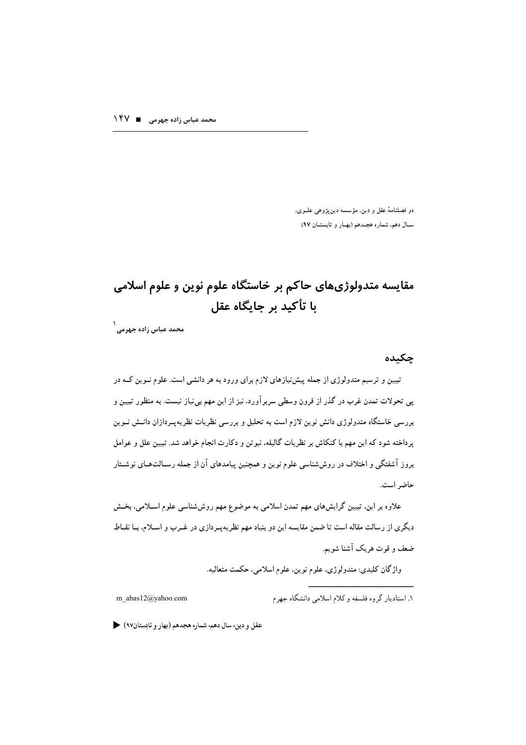دو فصلنامهٔ عقل و دین، مؤسسه دینپژوهی علـوی، سال دهم، شماره هجدهم (بهار و تابستان ۹۷)

## مقایسه متدولوژیهای حاکم بر خاستگاه علوم نوین و علوم اسلامی یا تأکید پر چانگاه عقل

۱<br>محمد عباس زادہ جہر مے۔

چکیده

تبیین و ترسیم متدولوژی از جمله پیش نیازهای لازم برای ورود به هر دانشی است. علوم نـوین کـه در پی تحولات تمدن غرب در گذر از قرون وسطی سربرآورد، نیز از این مهم بینیاز نیست. به منظور تبیین و بررسی خاستگاه متدولوژی دانش نوین لازم است به تحلیل و بررسی نظریات نظریهپـردازان دانــش نــوین پرداخته شود که این مهم با کنکاش بر نظریات گالیله، نیوتن و دکارت انجام خواهد شد. تبیین علل و عوامل بروز آشفتگی و اختلاف در روششناسی علوم نوین و همچنین پیامدهای آن از جمله رسـالت۱مای نوشــتار حاضر است.

علاوه بر این. تبیین گرایش،های مهم تمدن اسلامی به موضوع مهم روششناسی علوم اسـلامی، بخــش دیگری از رسالت مقاله است تا ضمن مقایسه این دو بنیاد مهم نظریهپـردازی در غــرب و اســلام، بــا نقــاط ضعف و قوت هر یک آشنا شویم.

واژگان کليدي: متدولوژي، علوم نوين، علوم اسلامي، حکمت متعاليه.

m abas12@yahoo.com

۱. استادیار گروه فلسفه و کلام اسلامی دانشگاه جهرم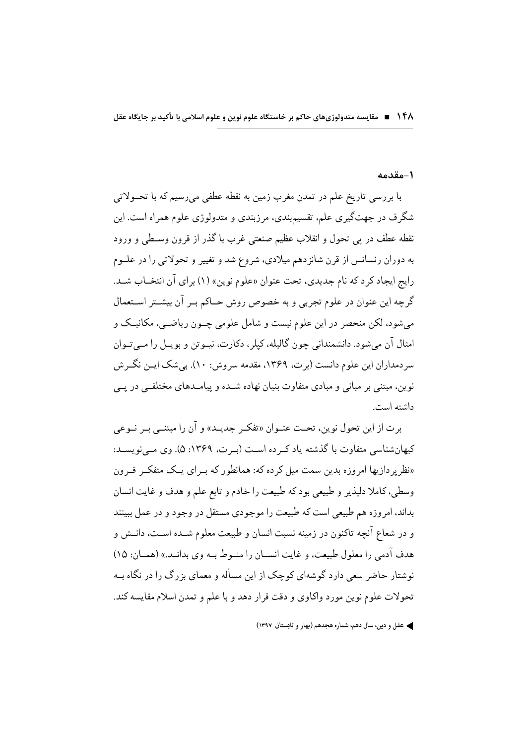۱۴۸ ■ مقایسه متدولوژی های حاکم بر خاستگاه علوم نوین و علوم اسلامی با تأکید بر جایگاه عقل

#### 1-مقدمه

با بررسی تاریخ علم در تمدن مغرب زمین به نقطه عطفی میرسیم که با تحــولاتی شگرف در جهتگیری علم، تقسیمبندی، مرزبندی و متدولوژی علوم همراه است. این نقطه عطف در پي تحول و انقلاب عظيم صنعتي غرب با گذر از قرون وسـطي و ورود به دوران رنسانس از قرن شانز دهم میلادی، شروع شد و تغییر و تحولاتی را در علـوم رايج ايجاد كر د كه نام جديدي، تحت عنوان «علوم نوين» (١) براي آن انتخــاب شــد. گرچه این عنوان در علوم تجربی و به خصوص روش حــاکم بــر آن بیشــتر اســتعمال می شود، لکن منحصر در این علوم نیست و شامل علومی چــون ریاضــی، مکانیــک و امثال آن مي شود. دانشمنداني چون گاليله، کيلر، دکارت، نيــوتن و بويــل را مــي تــوان سر دمداران این علوم دانست (بر ت، ۱۳۶۹، مقدمه سروش: ۱۰). بی شک ایــن نگــر ش نوین، مبتنی بر مبانی و مبادی متفاوت بنیان نهاده شــده و پیامــدهای مختلفــ در یـــ ، داشته است.

برت از این تحول نوین، تحت عنـوان «تفکـر جدیـد» و آن را مبتنـبي بـر نــوعي کیهانشناسی متفاوت با گذشته یاد که ده است (به ت، ۱۳۶۹: ۵). وی مبی نویسـد: «نظر به دازیها امروزه بدین سمت میل کرده که: همانطور که بـرای یـک متفکـر قـرون وسطى، كاملا دليذير و طبيعي بود كه طبيعت را خادم و تابع علم و هدف و غايت انسان بداند، امروزه هم طبیعی است که طبیعت را موجودی مستقل در وجود و در عمل ببینند و در شعاع آنچه تاکنون در زمینه نسبت انسان و طبیعت معلوم شــده اســت، دانــش و هدف آدمی را معلول طبیعت، و غایت انســان را منــوط بــه وی بدانــد.» (همــان: ۱۵) نوشتار حاضر سعی دارد گوشهای کوچک از این مسأله و معمای بزرگ را در نگاه بــه تحولات علوم نوين مورد واكاوى و دقت قرار دهد و با علم و تمدن اسلام مقايسه كند.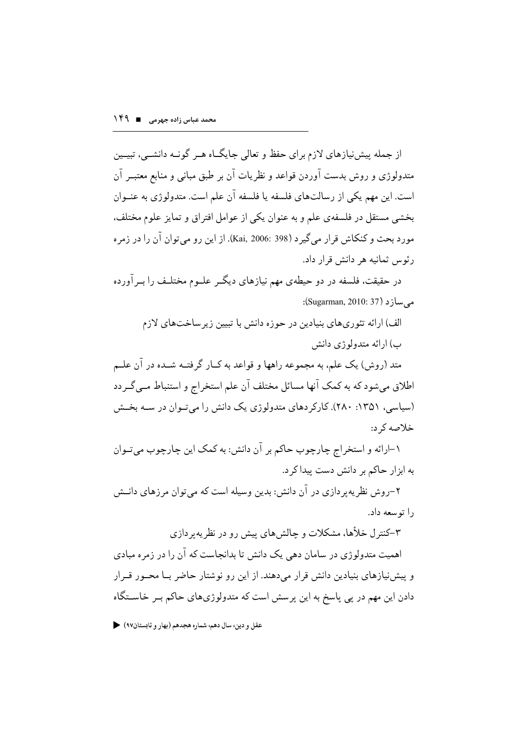از جمله پیش نیازهای لازم برای حفظ و تعالی جایگــاه هــر گونــه دانشــی، تبیــین متدولوژی و روش بدست آوردن قواعد و نظریات آن بر طبق مبانی و منابع معتبــر آن است. این مهم یکی از رسالتهای فلسفه یا فلسفه آن علم است. متدولوژی به عنــوان بخشی مستقل در فلسفهی علم و به عنوان یکی از عوامل افتراق و تمایز علوم مختلف، مورد بحث و كنكاش قرار مي گير د (Kai, 2006: 398). از اين رو مي توان آن را در زمر ه رئوس ثمانيه هر دانش قرار داد.

در حقیقت، فلسفه در دو حیطهی مهم نیازهای دیگــر علــوم مختلــف را بــرآورده مه ساز د (Sugarman, 2010: 37):

الف) ارائه تئوري هاي بنيادين در حوزه دانش با تبيين زير ساخت هاي لازم ب) ارائه متدولوژي دانش

متد (روش) یک علم، به مجموعه راهها و قواعد به کــار گرفتــه شــده در آن علــم اطلاق مے شود که به کمک آنها مسائل مختلف آن علم استخراج و استنباط مے گے دد (سیاسی، ۱۳۵۱: ۲۸۰). کارکردهای متدولوژی یک دانش را میتوان در سه بخش خلاصه که د:

۱–ارائه و استخراج چارچوب حاکم بر آن دانش: به کمک این چارچوب میتوان به ابزار حاکم بر دانش دست بیدا کر د.

۲–روش نظر په پر دازې در آن دانش: بدين وسيله است كه مي توان مر زهاى دانــش را توسعه داد.

۳–کنترل خلأها، مشکلات و چالش های بیش رو در نظریه ر دازی اهمیت متدولوژی در سامان دهی یک دانش تا بدانجاست که آن را در زمره مبادی و پیش نیازهای بنیادین دانش قرار می دهند. از این رو نوشتار حاضر بــا محــور قــرار دادن این مهم در پی پاسخ به این پرسش است که متدولوژیهای حاکم بـر خاســتگاه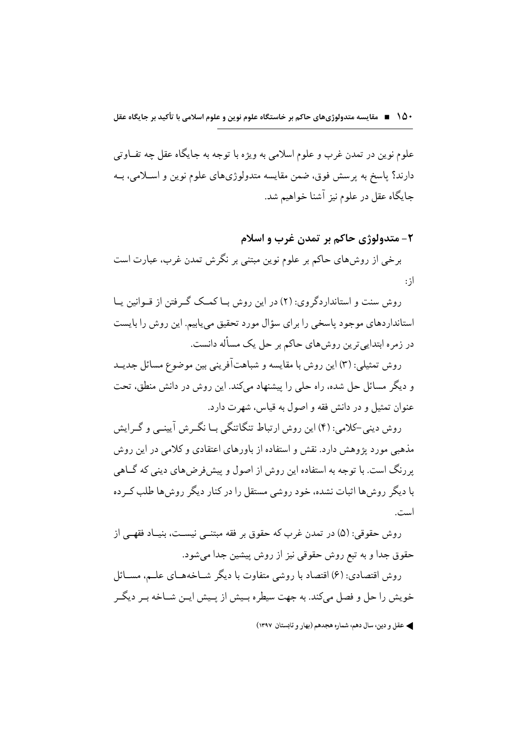علوم نوين در تمدن غرب و علوم اسلامي به ويژه با توجه به جايگاه عقل چه تفــاوتي دارند؟ ياسخ به پرسش فوق، ضمن مقايسه متدولوژيهاي علوم نوين و اسـلامي، بــه جایگاه عقل در علوم نیز آشنا خواهیم شد.

# ٢- متدولوژي حاكم بر تمدن غرب و اسلام برخی از روشهای حاکم بر علوم نوین مبتنی بر نگرش تمدن غرب، عبارت است از :

روش سنت و استاندار دگروی: (۲) در این روش بــا کمــک گــرفتن از قــوانین پــا استانداردهای موجود پاسخی را برای سؤال مورد تحقیق می پابیم. این روش را بایست در زمره ابتدایی ترین روشهای حاکم بر حل یک مسأله دانست.

روش تمثيلي: (٣) اين روش با مقايسه و شباهتأفريني بين موضوع مسائل جديــد و دیگر مسائل حل شده، راه حلی را پیشنهاد میکند. این روش در دانش منطق، تحت عنوان تمثيل و در دانش فقه و اصول به قياس، شهرت دارد.

روش دینی-کلامی: (۴) این روش ارتباط تنگاتنگی بـا نگـرش آیینـی و گـرایش مذهبی مورد یژوهش دارد. نقش و استفاده از باورهای اعتقادی و کلامی در این روش بر رنگ است. با توجه به استفاده این روش از اصول و پیش فرض های دینی که گیاهی با دیگر روش ها اثبات نشده، خود روشی مستقل را در کنار دیگر روش ها طلب کــر ده است.

روش حقوقي: (۵) در تمدن غرب كه حقوق بر فقه مبتنــي نيسـت، بنيــاد فقهــي از حقوق جدا و به تبع روش حقوقی نیز از روش پیشین جدا می شود.

روش اقتصادي: (۶) اقتصاد با روشي متفاوت با ديگر شــاخههــاي علــم، مســائل خویش را حل و فصل میکند. به جهت سیطره بـیش از پـیش ایـن شـاخه بـر دیگـر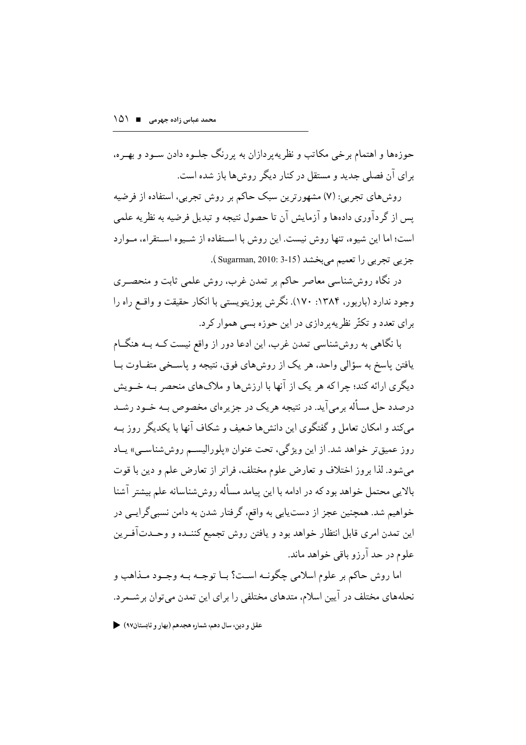جوزهها و اهتمام برخی مکاتب و نظریه بر دازان به بر رنگ جلبوه دادن سبود و بهیره، برای آن فصلی جدید و مستقل در کنار دیگر روش ها باز شده است.

روشهای تجربی: (۷) مشهورترین سبک حاکم بر روش تجربی، استفاده از فرضیه یس از گردآوری دادهها و آزمایش آن تا حصول نتیجه و تبدیل فرضیه به نظریه علمی است؛ اما این شیوه، تنها روش نیست. این روش با اسـتفاده از شـیوه اسـتقراء، مـوارد جزيبي تجربي را تعميم مي بخشد (Sugarman, 2010: 3-15 ).

در نگاه روششناسی معاصر حاکم بر تمدن غرب، روش علمی ثابت و منحصـری وجود ندارد (باربور، ۱۳۸۴: ۱۷۰). نگرش پوزیتویستی با انکار حقیقت و واقع راه را برای تعدد و تکثّر نظریه پردازی در این حوزه بسی هموار کرد.

با نگاهی به روششناسی تمدن غرب، این ادعا دور از واقع نیست کـه بـه هنگــام یافتن پاسخ به سؤالی واحد، هر یک از روشهای فوق، نتیجه و پاسـخی متفــاوت بــا دیگری ارائه کند؛ جرا که هر یک از آنها با ارزش ها و ملاک های منحصر بــه خــویش درصدد حل مسأله برمي آيد. در نتيجه هر يک در جزير ماي مخصوص بــه خــود رشــد می کند و امکان تعامل و گفتگوی این دانش ها ضعیف و شکاف آنها با یکدیگر روز بــه روز عميقتر خواهد شد. از اين ويژگي، تحت عنوان «پلوراليسم روششاسمي» يـاد م شود. لذا بروز اختلاف و تعارض علوم مختلف، فراتر از تعارض علم و دين با قوت بالایی محتمل خواهد بود که در ادامه با این پیامد مسأله روش شناسانه علم بیشتر آشنا خواهیم شد. همچنین عجز از دستیابی به واقع، گرفتار شدن به دامن نسبی گرایــی در این تمدن امری قابل انتظار خواهد بود و یافتن روش تجمیع کننــده و وحــدتآفــرین علوم در حد آرزو باقی خواهد ماند.

اما روش حاکم بر علوم اسلامي چگونـه اسـت؟ بــا توجــه بــه وجــود مــذاهب و نحلههای مختلف در آیین اسلام، متدهای مختلفی را برای این تمدن می توان بر شــمر د.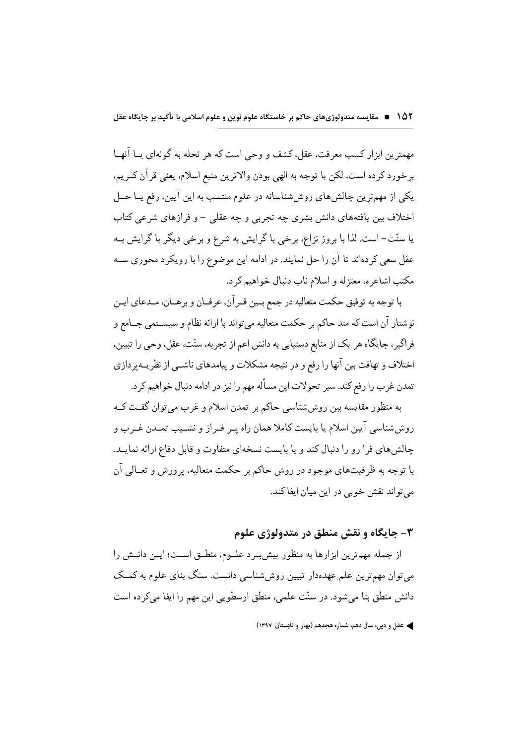مهمترين ابزار كسب معرفت، عقل، كشف و وحي است كه هر نحله به گونهاي يــا آنهــا برخورد كرده است، لكن با توجه به الهي بودن والاترين منبع اسلام، يعني قرآن كـريم، یکی از مهمترین چالشهای روششناسانه در علوم منتسب به این آیین، رفع یــا حــل اختلاف بین یافتههای دانش بشری چه تجربی و چه عقلی – و فرازهای شرعی کتاب یا سنّت– است. لذا با بروز نزاع، برخی با گرایش به شرع و برخی دیگر با گرایش بــه عقل سعی کردهاند تا آن را حل نمایند. در ادامه این موضوع را با رویکرد محوری ســه مکتب اشاعره، معتزله و اسلام ناب دنبال خواهیم کرد.

با توجه به توفيق حكمت متعاليه در جمع بـين قـرآن، عرفـان و برهـان، مـدعاي ايـن نوشتار آن است كه متد حاكم بر حكمت متعاليه مى تواند با ارائه نظام و سيســتمى جــامع و فراگیر ، جایگاه هر یک از منابع دستیابی به دانش اعم از تجربه، سنّت، عقل، وحی را تبیین، اختلاف و تهافت بین آنها را رفع و در نتیجه مشکلات و پیامدهای ناشــی از نظریــهپردازی تمدن غرب را رفع كند. سير تحولات اين مسأله مهم را نيز در ادامه دنبال خواهيم كرد.

به منظور مقایسه بین روششناسی حاکم بر تمدن اسلام و غرب می توان گفت ک روششناسی آیین اسلام یا بایست کاملا همان راه پـر فـراز و نشــیب تمــدن غــرب و چالش های فرا رو را دنبال کند و یا بایست نسخهای متفاوت و قابل دفاع ارائه نمایـد. با توجه به ظرفیتهای موجود در روش حاکم بر حکمت متعالیه، برورش و تعــالی آن مي تواند نقش خوبي در اين ميان ايفا كند.

۳- جایگاه و نقش منطق در متدولوژی علوم

از جمله مهمترین ابزارها به منظور پیش برد علـوم، منطـق اسـت؛ ایـن دانـش را می توان مهمترین علم عهدهدار تبیین روش شناسی دانست. سنگ بنای علوم به کمـک دانش منطق بنا می شود. در سنّت علمی، منطق ارسطویی این مهم را ایفا میکر ده است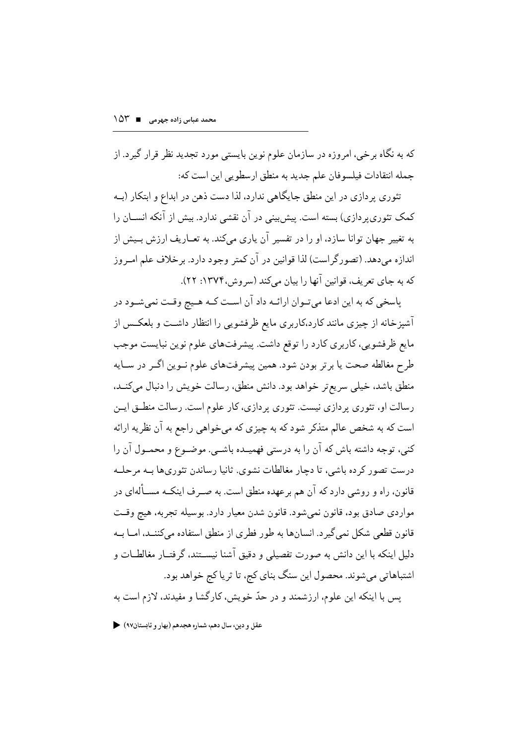که به نگاه بر خی، امروزه در سازمان علوم نوین بایستی مورد تجدید نظر قرار گیرد. از جمله انتقادات فيلسوفان علم جديد به منطق ارسطويي اين است كه:

تئوری پردازی در این منطق جایگاهی ندارد، لذا دست ذهن در ابداع و ابتکار (بــه کمک تئوری بر دازی) بسته است. پیش بینی در آن نقشی ندارد. بیش از آنکه انســان را به تغییر جهان توانا سازد، او را در تفسیر آن پاری میکند. به تعــاریف ارزش بــیش از اندازه میدهد. (تصورگراست) لذا قوانین در آن کمتر وجود دارد. برخلاف علم امـروز که به جای تعریف، قوانین آنها را بیان میکند (سروش،۱۳۷۴: ۲۲).

پاسخی که به این ادعا میتوان ارائـه داد آن اسـت کـه هـیج وقـت نمیشـود در آشیزخانه از چیزی مانند کارد،کاربری مایع ظرفشویی را انتظار داشـت و بلعکـس از مايع ظرفشويي، كاربري كارد را توقع داشت. پيشرفتهاي علوم نوين نبايست موجب طرح مغالطه صحت یا برتر بودن شود. همین پیشرفتهای علوم نـوین اگـر در سـایه منطق باشد، خیلی سریع تر خواهد بود. دانش منطق، رسالت خویش را دنبال میکنــد، رسالت او، تئوري پردازي نيست. تئوري پردازي، كار علوم است. رسالت منطــق ايــن است که به شخص عالم متذکر شود که به چیزی که میخواهی راجع به آن نظریه ارائه کنی، توجه داشته باش که آن را به درستی فهمیــده باشــی. موضــوع و محمــول آن را درست تصور کر ده باشی، تا دچار مغالطات نشوی. ثانیا رساندن تئوری ها بـه مرحلـه قانون، راه و روشی دارد که آن هم بر عهده منطق است. به صـر ف اینکــه مســألهای در مواردي صادق بود، قانون نميشود. قانون شدن معيار دارد. بوسيله تجربه، هيچ وقـت قانون قطعی شکل نمی گیرد. انسانها به طور فطری از منطق استفاده میکننـد، امــا بــه دلیل اینکه با این دانش به صورت تفصیلی و دقیق آشنا نیســتند، گرفتــار مغالطــات و اشتباهاتی میشوند. محصول این سنگ بنای کج، تا ثریا کج خواهد بود. يس با اينكه اين علوم، ارزشمند و در حدّ خويش، كارگشا و مفيدند، لازم است به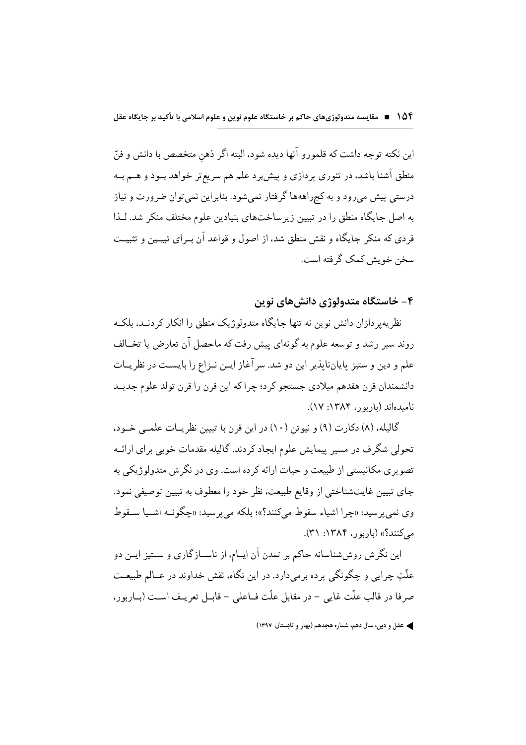این نکته توجه داشت که قلمورو آنها دیده شود، البته اگر ذهن متخصص با دانش و فنّ منطق آشنا باشد، در تئوري پردازي و پيش برد علم هم سريع تر خواهد بــود و هــم بــه درستی پیش میرود و به کجراههها گرفتار نمیشود. بنابراین نمیتوان ضرورت و نیاز به اصل جایگاه منطق را در تبیین زیر ساختهای بنیادین علوم مختلف منکر شد. لـذا فردی که منکر جایگاه و نقش منطق شد، از اصول و قواعد آن بـرای تبیــین و تثبیـت سخن خويش كمك گرفته است.

۴– خاستگاه متدولوژی دانش های نوین

نظریه پر دازان دانش نوین نه تنها جایگاه متدولوژیک منطق را انکار کر دنـد، بلکـه روند سير رشد و توسعه علوم به گونهاي پيش رفت كه ماحصل آن تعارض يا تخــالف علم و دين و ستيز پاياننايذير اين دو شد. سر آغاز ايـن نـزاع را بايسـت در نظريــات دانشمندان قرن هفدهم میلادی جستجو کرد؛ جرا که این قرن را قرن تولد علوم جدیـد نامیدهاند (باربور، ۱۳۸۴: ۱۷).

گالیله، (۸) دکارت (۹) و نیوتن (۱۰) در این قرن با تبیین نظر پــات علمــی خــود، تحولی شگرف در مسیر پیمایش علوم ایجاد کردند. گالیله مقدمات خوبی برای ارائــه تصویری مکانیستی از طبیعت و حیات ارائه کر ده است. وی در نگرش متدولوژیکی به جاي تبيين غايتشناختي از وقايع طبيعت، نظر خود را معطوف به تبيين توصيفي نمود. وي نمي پر سيد: «چرا اشياء سقوط مي كنند؟»؛ بلكه مي پر سيد: «چگونــه اشــيا ســقوط مے کنند؟» (باربور، ۱۳۸۴: ۳۱).

این نگرش روششناسانه حاکم بر تمدن آن ایــام، از ناســازگاری و ســتیز ایــن دو علَّتِ چراپي و چگونگي پر ده برمي دارد. در اين نگاه، نقش خداوند در عــالم طبيعــت صرفا در قالب علّت غايي - در مقابل علّت فــاعلى - قابــل تعريــف اســت (بــاربور،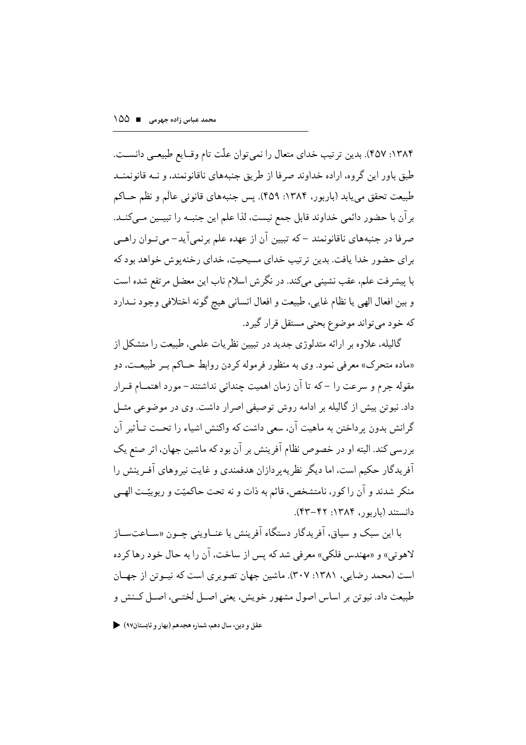۱۳۸۴: ۴۵۷). بدین ترتیب خدای متعال را نمی توان علّت تام وقـایع طبیعـی دانسـت. طبق باور این گروه، اراده خداوند صرفا از طریق جنبههای ناقانونمند، و نــه قانونمنــد طبيعت تحقق مي يابد (باربور، ١٣٨۴: ۴۵۹). پس جنبههاي قانوني عالَم و نظم حــاكم بر آن با حضور دائمی خداوند قابل جمع نیست، لذا علم این جنبـه را تبیـین مــی کنــد. صرفا در جنبههای ناقانونمند –که تبیین آن از عهده علم برنمی آید– می تـوان راهـبی برای حضور خدا یافت. بدین تر تیب خدای مسیحیت، خدای رخنه یوش خواهد بود که با پیشرفت علم، عقب نشینی میکند. در نگرش اسلام ناب این معضل مرتفع شده است و بين افعال الهي يا نظام غايي، طبيعت و افعال انساني هيچ گونه اختلافي وجود نــدارد كه خود مي تواند موضوع بحثي مستقل قرار گيرد.

گالیله، علاوه بر ارائه متدلوژی جدید در تبیین نظریات علمی، طبیعت را متشکل از «ماده متحرک» معرفی نمود. وی به منظور فرموله کردن روابط حــاکم بــر طبیعــت، دو مقوله جرم و سرعت را – که تا آن زمان اهمیت جندانی نداشتند– مورد اهتمــام قــرار داد. نیو تن بیش از گالیله بر ادامه روش توصیفی اصرار داشت. وی در موضوعی مثــل گرانش بدون پرداختن به ماهیت آن، سعی داشت که واکنش اشیاء را تحــت تــأثیر آن بررسی کند. البته او در خصوص نظام آفرینش بر آن بود که ماشین جهان، اثر صنع یک آفریدگار حکیم است، اما دیگر نظریه بر دازان هدفمندی و غایت نیر وهای آفیرینش را منکر شدند و آن را کور، نامتشخص، قائم به ذات و نه تحت حاکمیّت و ربوبیّـت الهـبی دانستند (باریور، ۱۳۸۴: ۴۲–۴۳).

با این سبک و سیاق، آفریدگار دستگاه آفرینش با عنــاوینی جــون «ســاعتســاز لاهوتي» و «مهندس فلكي» معرفي شد كه پس از ساخت، آن را به حال خود رها كر ده است (محمد رضایی، ۱۳۸۱: ۲۰۷). ماشین جهان تصویری است که نیــوتن از جهــان طبيعت داد. نيوتن بر اساس اصول مشهور خويش، يعني اصـل لَختـبي، اصـل كــنش و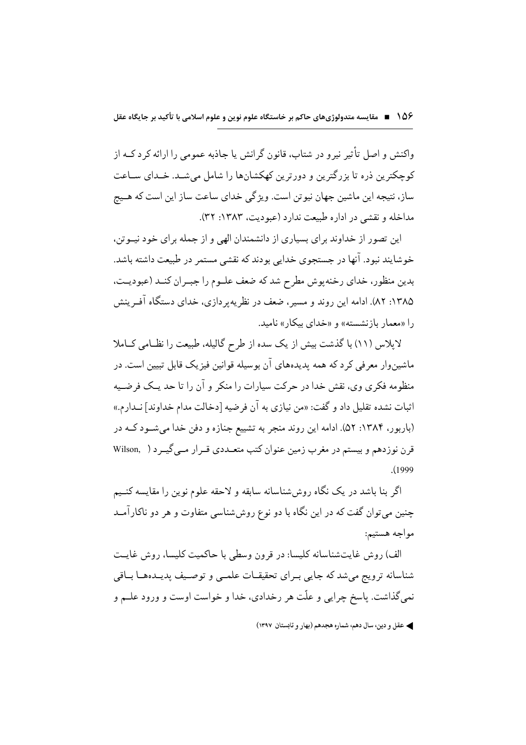واکنش و اصل تأثیر نیرو در شتاب، قانون گرانش یا جاذبه عمومے را ارائه کرد کےه از کوچکترین ذره تا بزرگترین و دورترین کهکشانها را شامل می شـد. خـدای سـاعت ساز، نتيجه اين ماشين جهان نيوتن است. ويژگي خداي ساعت ساز اين است كه هـيچ مداخله و نقشی در اداره طبیعت ندارد (عبودیت، ۱۳۸۳: ۳۲).

این تصور از خداوند برای بسیاری از دانشمندان الهی و از جمله برای خود نیــوتن، خوشایند نبود. آنها در جستجوی خدایی بودند که نقشی مستمر در طبیعت داشته باشد. بدین منظور، خدای رخنهپوش مطرح شد که ضعف علـوم را جبـران کنـد (عبودیـت، ۱۳۸۵: ۸۲). ادامه این روند و مسیر ، ضعف در نظریه بر دازی، خدای دستگاه آف پینش را «معمار بازنشسته» و «خدای بیکار» نامید.

لایلاس (١١) با گذشت بیش از یک سده از طرح گالیله، طبیعت را نظـامی کــاملا ماشین وار معرفی کرد که همه یدیدههای آن بوسیله قوانین فیزیک قابل تبیین است. در منظومه فکری وی، نقش خدا در حرکت سیارات را منکر و آن را تا حد یـک فرضـیه اثبات نشده تقليل داد و گفت: «من نيازي به آن فرضيه [دخالت مدام خداوند] نــدارم.» (باربور، ۱۳۸۴: ۵۲). ادامه این روند منجر به تشییع جنازه و دفن خدا میشود کـه در قرن نوزدهم و بیستم در مغرب زمین عنوان کتب متعــددي قــرار مــي گيــر د ( Wilson,  $(1999)$ 

اگر بنا باشد در یک نگاه روش شناسانه سابقه و لاحقه علوم نوین را مقایسه کنــیم چنین می توان گفت که در این نگاه با دو نوع روششناسی متفاوت و هر دو ناکارآمــد مواجه هستيم:

الف) روش غایتشناسانه کلیسا: در قرون وسطی با حاکمیت کلیسا، روش غایـت شناسانه ترويج مي شد كه جايي بيراي تحقيقيات علمي و توصيف پدييدههـا بياقي نمي گذاشت. پاسخ چرايي و علّت هر رخدادي، خدا و خواست اوست و ورود علــم و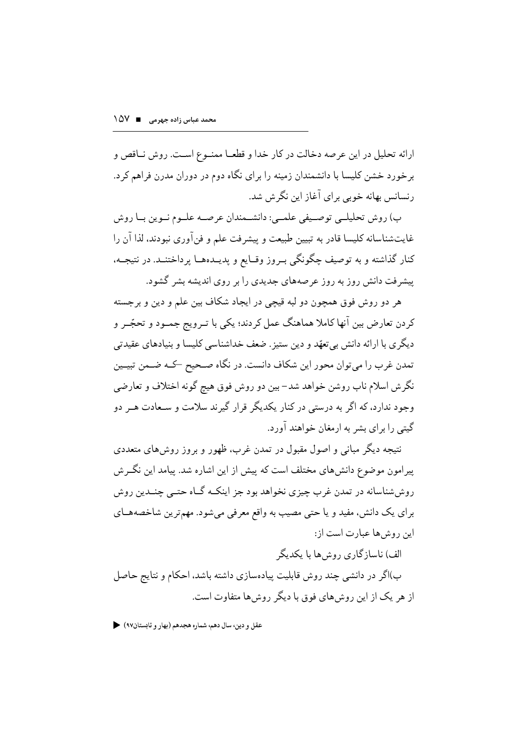ارائه تحلیل در این عرصه دخالت در کار خدا و قطعـا ممنــوع اسـت. روش نــاقص و بر خورد خشن کلیسا با دانشمندان زمینه را برای نگاه دوم در دوران مدرن فراهم کرد. رنسانس بهانه خوبی برای آغاز این نگرش شد.

ب) روش تحليلے توصيفي علمے: دانشـمندان عرصـه علـوم نـوين بـا روش غايتشناسانه كليسا قادر به تبيين طبيعت و پيشرفت علم و فنآوري نبودند، لذا آن را كنار گذاشته و به توصيف چگونگي بـروز وقـايع و يديــدههــا پرداختنــد. در نتيجــه، پیشرفت دانش روز به روز عرصههای جدیدی را بر روی اندیشه بشر گشود.

هر دو روش فوق همچون دو لبه قیچی در ایجاد شکاف بین علم و دین و برجسته کردن تعارض بین آنها کاملا هماهنگ عمل کردند؛ یکی با تـرویج جمــود و تحجّــر و دیگری با ارائه دانش بی تعهّد و دین ستیز . ضعف خداشناسی کلیسا و بنیادهای عقیدتی تمدن غرب را مي توان محور اين شكاف دانست. در نگاه صـحيح كـه ضـمن تبيــين نگرش اسلام ناب روشن خواهد شد– بين دو روش فوق هيچ گونه اختلاف و تعارضي وجود ندارد، که اگر به درستی در کنار یکدیگر قرار گیرند سلامت و سـعادت هــر دو گیتی را برای بشر به ارمغان خواهند آورد.

نتیجه دیگر مبانی و اصول مقبول در تمدن غرب، ظهور و بروز روشهای متعددی پیرامون موضوع دانش،ای مختلف است که پیش از این اشاره شد. پیامد این نگــرش روش شناسانه در تمدن غرب چیزی نخواهد بود جز اینکـه گــاه حتــی چنــدین روش براي يک دانش، مفيد و يا حتى مصيب به واقع معرفي مي شود. مهم ترين شاخصههـاي این روش ها عبارت است از:

الف) ناساز گاری روش ها با یکدیگر

ب)اگر در دانشی چند روش قابلیت پیادهسازی داشته باشد، احکام و نتایج حاصل از هر یک از این روش های فوق با دیگر روش ها متفاوت است.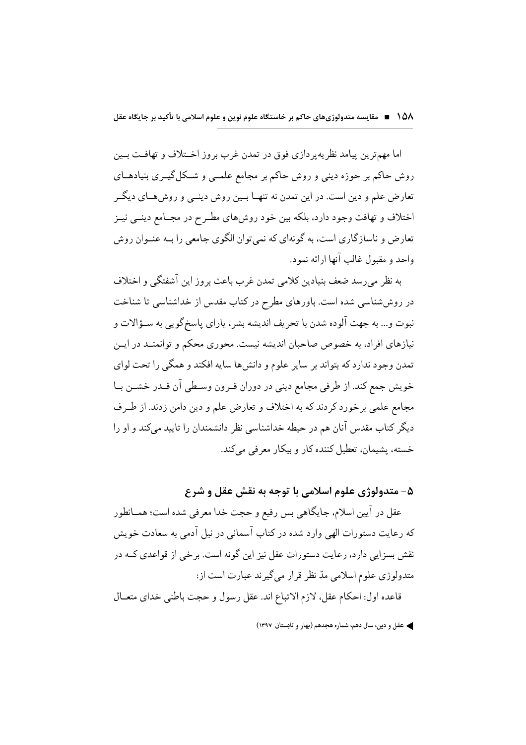اما مهمترين پيامد نظريه پر دازې فوق در تمدن غرب بروز اخــتلاف و تهافــت بــين روش حاکم بر حوزه دینی و روش حاکم بر مجامع علمــی و شــکل گیــری بنیادهــای تعارض علم و دین است. در این تمدن نه تنهـا بــین روش دینــی و روشهــای دیگــر اختلاف و تهافت وجود دارد، بلکه بین خود روش های مطـر ح در مجــامع دینــی نیــز تعارض و ناسازگاری است، به گونهای که نمی توان الگوی جامعی را بـه عنــوان روش واحد و مقبول غالب آنها ارائه نمود.

به نظر میرسد ضعف بنیادین کلامی تمدن غرب باعث بروز این آشفتگی و اختلاف در روششناسی شده است. باورهای مطرح در کتاب مقدس از خداشناسی تا شناخت نبوت و... به جهت آلوده شدن با تحريف انديشه بشر، ياراي پاسخ گويي به سـؤالات و نیازهای افراد، به خصوص صاحبان اندیشه نیست. محوری محکم و توانمنــد در ایــن تمدن وجود ندارد که بتواند بر سایر علوم و دانشها سایه افکند و همگی را تحت لوای خويش جمع كند. از طرفي مجامع ديني در دوران قـرون وسـطى آن قـدر خشـن بـا مجامع علمي برخورد كردند كه به اختلاف و تعارض علم و دين دامن زدند. از طـرف دیگر کتاب مقدس آنان هم در حیطه خداشناسی نظر دانشمندان را تایید میکند و او را خسته، پشیمان، تعطیل کننده کار و بیکار معرفی میکند.

### ۵- متدولوژي علوم اسلامي با توجه به نقش عقل و شر ع

عقل در آيين اسلام، جايگاهي بس رفيع و حجت خدا معرفي شده است؛ همــانطور که رعایت دستورات الهی وارد شده در کتاب آسمانی در نیل آدمی به سعادت خویش نقش بسزایی دارد، رعایت دستورات عقل نیز این گونه است. برخی از قواعدی کــه در متدولوژي علوم اسلامي مدّ نظر قرار مي گيرند عبارت است از: قاعده اول: احكام عقل، لازم الاتباع اند. عقل رسول و حجت باطني خداي متعــال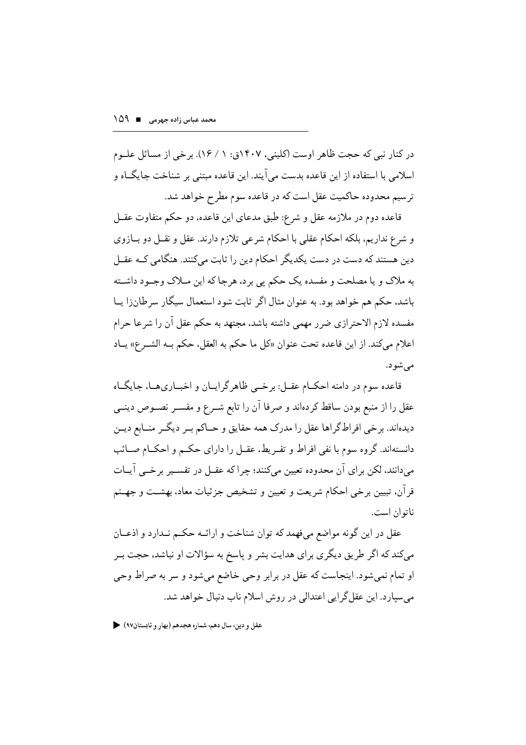در کنار نبی که حجت ظاهر اوست (کلینی، ۱۴۰۷ق: ۱ / ۱۶). بر خی از مسائل علـوم اسلامی با استفاده از این قاعده بدست می آیند. این قاعده مبتنی بر شناخت جایگــاه و ترسیم محدوده حاکمیت عقل است که در قاعده سوم مطرح خواهد شد.

قاعده دوم در ملازمه عقل و شرع: طبق مدعاي اين قاعده، دو حكم متفاوت عقــل و شرع نداریم، بلکه احکام عقلی با احکام شرعی تلازم دارند. عقل و نقــل دو بــازوی دین هستند که دست در دست یکدیگر احکام دین را ثابت میکنند. هنگامی کــه عقــل به ملاک و یا مصلحت و مفسده یک حکم پی برد، هرجا که این مــلاک وجــود داشــته باشد، حکم هم خواهد بود. به عنوان مثال اگر ثابت شود استعمال سیگار سرطانزا پـا مفسده لازم الاحترازي ضرر مهمى داشته باشد، مجتهد به حكم عقل آن را شرعا حرام اعلام مي كند. از اين قاعده تحت عنوان «كل ما حكم به العقل، حكم بـه الشـرع» يـاد مې شو د.

قاعده سوم در دامنه احکــام عقــل: بر خـــی ظاهر گرایــان و اخبــاری۱هــا، جایگــاه عقل را از منبع بودن ساقط كردهاند و صرفا آن را تابع شـرع و مفسـر نصـوص دينــي دیدهاند. برخی افراطگراها عقل را مدرک همه حقایق و حـاکم بـر دیگـر منــابع دیــن دانستهاند. گروه سوم با نفی افراط و تفـریط، عقـل را دارای حکـم و احکـام صـائب مے دانند، لکن ہر ای آن محدودہ تعیین مے کنند؛ جرا که عقــل در تفســیر بر خــی آپــات قرآن، تبیین برخی احکام شریعت و تعیین و تشخیص جزئیات معاد، بهشــت و جهــنم ناتوان است.

عقل در این گونه مواضع میفهمد که توان شناخت و ارائـه حکـم نـدارد و اذعــان میکند که اگر طریق دیگری برای هدایت بشر و پاسخ به سؤالات او نباشد، حجت بـر او تمام نمي شو د. اينجاست كه عقل در بر ابر وحي خاضع مي شو د و سر به صر اط وحي می سیارد. این عقل گرایی اعتدالی در روش اسلام ناب دنبال خواهد شد.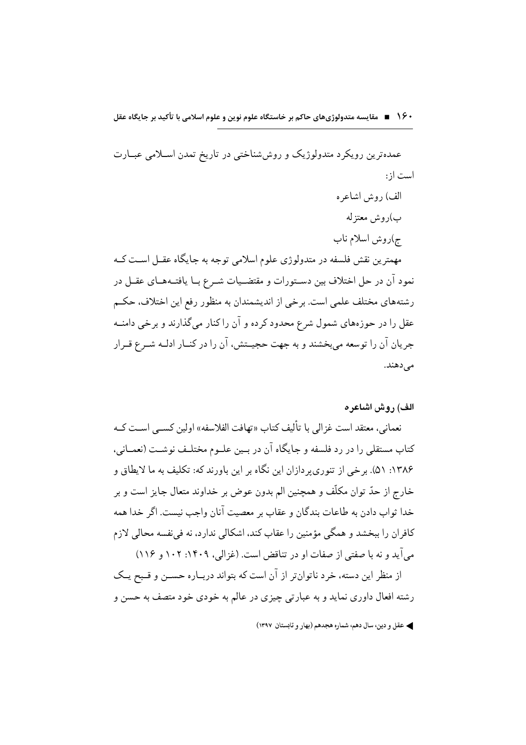• ۱۶ ■ مقایسه متدولوژیهای حاکم بر خاستگاه علوم نوین و علوم اسلامی با تأکید بر جایگاه عقل

عمدهترین رویکرد متدولوژیک و روششناختی در تاریخ تمدن اسـلامی عبــارت است از: الف) روش اشاعره ب)روش معتزله ج)روش اسلام ناب مهمترين نقش فلسفه در متدولوژي علوم اسلامي توجه به جايگاه عقــل اســت كــه نمود آن در حل اختلاف بین دســتورات و مقتضــیات شــرع بــا یافتــههــای عقــل در رشتههاي مختلف علمي است. برخي از انديشمندان به منظور رفع اين اختلاف، حكـم عقل را در حوزههای شمول شرع محدود کرده و آن راکنار میگذارند و برخی دامنــه جريان آن را توسعه مي بخشند و به جهت حجيــتش، آن را در كنــار ادلــه شــرع قــرار مى دهند.

الف) روش اشاعره

نعماني، معتقد است غزالي با تأليف كتاب «تهافت الفلاسفه» اولين كســي اســت كــه كتاب مستقلي را در رد فلسفه و جايگاه آن در بــين علــوم مختلــف نوشــت (نعمــاني، ۱۳۸۶: ۵۱). برخی از تنوری بر دازان این نگاه بر این باورند که: تکلیف به ما لایطاق و خارج از حدّ توان مکلّف و همچنین الم بدون عوض بر خداوند متعال جایز است و بر خدا ثواب دادن به طاعات بندگان و عقاب بر معصیت آنان واجب نیست. اگر خدا همه كافران را ببخشد و همگي مؤمنين را عقاب كند، اشكالي ندارد، نه في نفسه محالي لازم می آید و نه با صفتی از صفات او در تناقض است. (غزالی، ۱۴۰۹: ۱۰۲ و ۱۱۶)

از منظر این دسته، خرد ناتوان تر از آن است که بتواند دربـاره حســن و قــبح یــک رشته افعال داوري نمايد و به عبارتي چيزي در عالم به خودي خود متصف به حسن و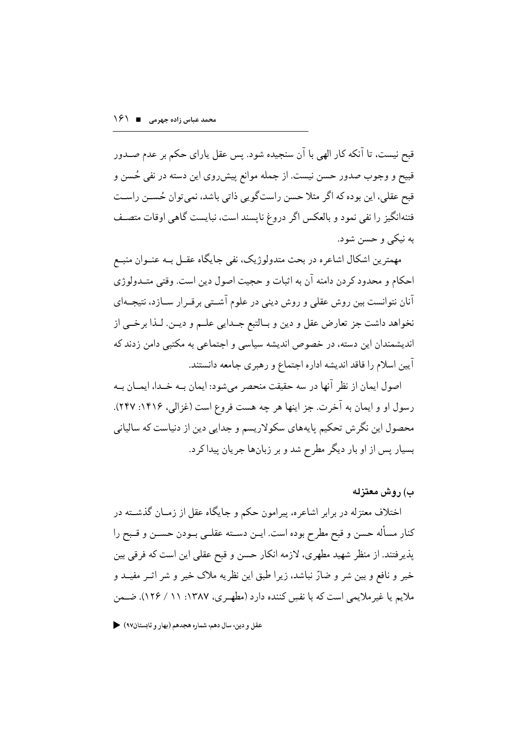قبح نيست، تا آنكه كار الهي با آن سنجيده شود. پس عقل پاراي حكم بر عدم صـدور قبیح و وجوب صدور حسن نیست. از جمله موانع پیش روی این دسته در نفی حُسن و قبح عقلبي، اين بوده كه اگر مثلا حسن راستگويي ذاتي باشد، نمي توان حُســن راسـت فتنهانگیز را نفی نمود و بالعکس اگر دروغ نایسند است، نبایست گاهی اوقات متصـف به نیکے و حسن شود.

مهمترین اشکال اشاعره در بحث متدولوژیک، نفی جایگاه عقــل بــه عنــوان منبــع احکام و محدود کر دن دامنه آن به اثبات و حجیت اصول دین است. وقتی متــدولوژی آنان نتوانست بین روش عقلی و روش دینی در علوم آشـتی برقـرار ســازد، نتیجــهای نخواهد داشت جز تعارض عقل و دين و بـالتبع جــدايي علــم و ديــن. لــذا برخــي از اندیشمندان این دسته، در خصوص اندیشه سیاسی و اجتماعی به مکتبی دامن زدند که آيين اسلام را فاقد انديشه اداره اجتماع و رهبري جامعه دانستند.

اصول ايمان از نظر آنها در سه حقيقت منحصر ميشود: ايمان بـه خـدا، ايمــان بــه رسول او و ايمان به آخرت. جز اينها هر چه هست فروع است (غزالي، ۱۴۱۶: ۲۴۷). محصول این نگرش تحکیم پایههای سکولاریسم و جدایی دین از دنیاست که سالیانی بسیار پس از او بار دیگر مطرح شد و بر زبانها جریان پیدا کرد.

#### ب) روش معتزله

اختلاف معتزله در برابر اشاعره، پیرامون حکم و جایگاه عقل از زمــان گذشــته در كنار مسأله حسن و قبح مطرح بوده است. ايــن دســته عقلــي بــودن حســن و قــبح را پذیرفتند. از منظر شهید مطهری، لازمه انکار حسن و قبح عقلی این است که فرقی بین خير و نافع و بين شر و ضارّ نباشد، زيرا طبق اين نظريه ملاک خير و شر اثــر مفيــد و ملايم يا غير ملايمي است كه با نفسٍ كننده دارد (مطهـري، ١٣٨٧: ١١ / ١٢٤). ضـمن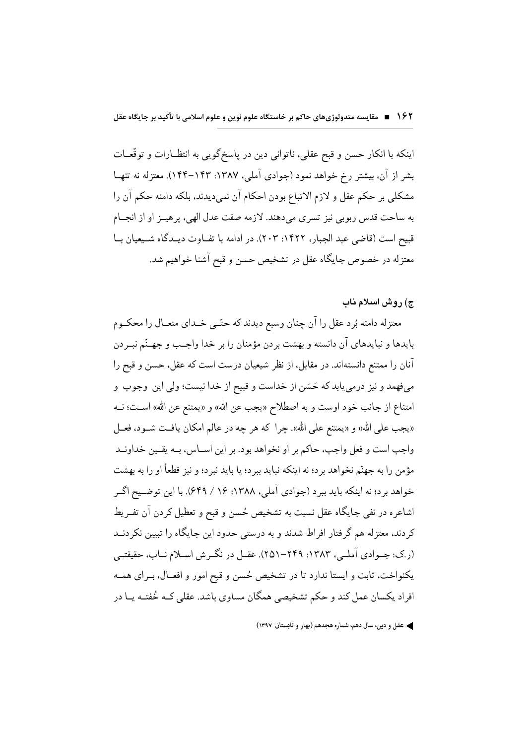اينكه با انكار حسن و قبح عقلي، ناتواني دين در ياسخگويي به انتظـارات و توقّعـات بشر از آن، بیشتر رخ خواهد نمود (جوادی آملی، ۱۳۸۷: ۱۴۳–۱۴۴). معتزله نه تنهـا مشكلي بر حكم عقل و لازم الاتباع بودن احكام آن نمىديدند، بلكه دامنه حكم آن را به ساحت قدس ربوبي نيز تسرى مى دهند. لازمه صفت عدل الهى، ير هيــز او از انجــام قبیح است (قاضی عبد الجبار، ۱۴۲۲: ۲۰۳). در ادامه با تفــاوت دیــدگاه شــیعیان بــا معتزله در خصوص جایگاه عقل در تشخیص حسن و قبح آشنا خواهیم شد.

#### ج) روش اسلام ناب

معتزله دامنه بُرد عقل را آن چنان وسیع دیدند که حتّــي خــداي متعــال را محکــوم بايدها و نبايدهاي آن دانسته و بهشت بردن مؤمنان را بر خدا واجـب و جهـنّم نبــردن آنان را ممتنع دانستهاند. در مقابل، از نظر شیعیان درست است که عقل، حسن و قبح را میفهمد و نیز درمییابد که حَسَن از خداست و قبیح از خدا نیست؛ ولی این وجوب و امتناع از جانب خود اوست و به اصطلاح «يجب عن الله» و «يمتنع عن الله» اســت؛ نــه «يجب على الله» و «يمتنع على الله». چرا كه هر چه در عالم امكان يافت شـود، فعـل واجب است و فعل واجب، حاكم بر او نخواهد بود. بر اين اســاس، بــه يقــين خداونــد مؤمن را به جهنّم نخواهد بر د؛ نه اينكه نبايد ببر د؛ يا بايد نبر د؛ و نيز قطعاً او را به بهشت خواهد برد؛ نه اینکه باید ببرد (جوادي آملي، ۱۳۸۸: ۱۶ / ۶۴۹). با این توضیح اگـر اشاعره در نفي جايگاه عقل نسبت به تشخيص حُسن و قبح و تعطيل كردن آن تفـريط کردند، معتزله هم گرفتار افراط شدند و به درستی حدود این جایگاه را تبیین نکردنــد (ر.ک: جــوادي آملــي، ۱۳۸۳: ۲۴۹–۲۵۱). عقــل در نگــرش اســلام نــاب، حقيقتــي یکنواخت، ثابت و ایستا ندارد تا در تشخیص حُسن و قبح امور و افعـال، بـرای همـه افراد یکسان عمل کند و حکم تشخیصی همگان مساوی باشد. عقلی کـه خُفتـه یــا در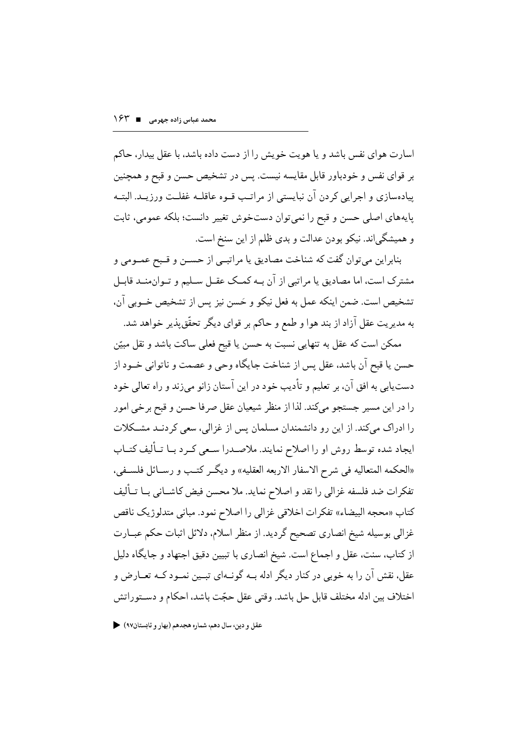اسارت هوای نفس باشد و یا هویت خویش را از دست داده باشد، با عقل بیدار، حاکم بر قوای نفس و خودباور قابل مقایسه نیست. پس در تشخیص حسن و قبح و همچنین پیادهسازی و اجرایی کردن آن نبایستی از مراتـب قــوه عاقلــه غفلـت ورزیــد. البتــه يايههاي اصلى حسن و قبح را نمي توان دستخوش تغيير دانست؛ بلكه عمومي، ثابت و همیشگی اند. نیکو بودن عدالت و بدی ظلم از این سنخ است.

بنابراین میتوان گفت که شناخت مصادیق یا مراتبــی از حســن و قــبح عمــومی و مشترک است، اما مصادیق یا مراتبی از آن بـه کمـک عقـل سـلیم و تـوان۵منـد قابـل تشخيص است. ضمن اينكه عمل به فعل نيكو و حَسن نيز پس از تشخيص خــوبي آن، به مديريت عقل آزاد از بند هوا و طمع و حاكم بر قواي ديگر تحقّق يذير خواهد شد.

ممکن است که عقل به تنهایی نسبت به حسن یا قبحِ فعلی ساکت باشد و نقل مبیّن حسن يا قبح أن باشد، عقل يس از شناخت جايگاه وحي و عصمت و ناتواني خــود از دست یابی به افق آن، بر تعلیم و تأدیب خود در این آستان زانو میزند و راه تعالی خود را در اين مسير جستجو ميكند. لذا از منظر شيعيان عقل صرفا حسن و قبح برخي امور را ادراک میکند. از این رو دانشمندان مسلمان پس از غزالی، سعی کردنـد مشـکلات ایجاد شده توسط روش او را اصلاح نمایند. ملاصــدرا ســعی کــرد بــا تــألیف کتــاب «الحكمه المتعاليه في شرح الاسفار الاربعه العقليه» و ديگر كتب و رســائل فلســفي، تفكرات ضد فلسفه غزالي را نقد و اصلاح نمايد. ملا محسن فيض كاشــاني بــا تــأليف كتاب «محجه البيضاء» تفكرات اخلاقي غزالي را اصلاح نمود. مباني متدلوژيك ناقص غزالي بوسيله شيخ انصاري تصحيح گرديد. از منظر اسلام، دلائل اثبات حكم عبــارت از کتاب، سنت، عقل و اجماع است. شیخ انصاری با تبیین دقیق اجتهاد و جایگاه دلیل عقل، نقش آن را به خوبی در کنار دیگر ادله بــه گونــهای تبــین نمــود کــه تعــارض و اختلاف بين ادله مختلف قابل حل باشد. وقتى عقل حجّت باشد، احكام و دســتوراتش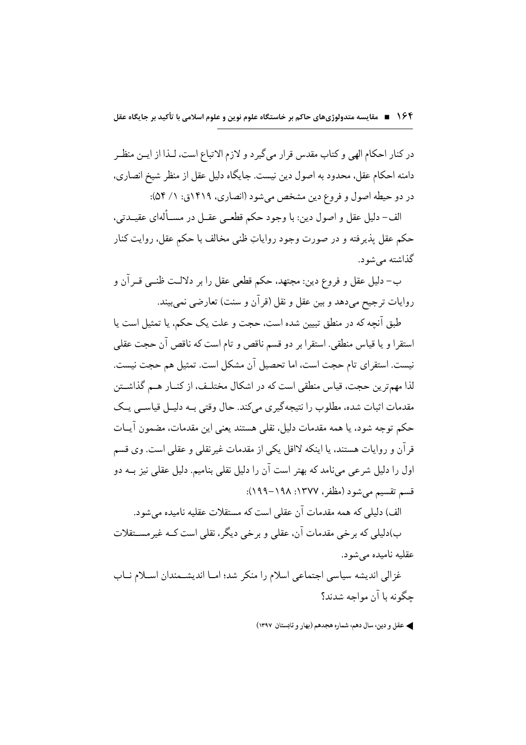در کنار احکام الهی و کتاب مقدس قرار میگیرد و لازم الاتباع است، لـذا از ایــن منظــر دامنه احکام عقل، محدود به اصول دین نیست. جایگاه دلیل عقل از منظر شیخ انصاری، در دو حیطه اصول و فروع دین مشخص میشود (انصاری، ۱۴۱۹ق: ۱/ ۵۴):

الف- دليل عقل و اصول دين: با وجود حكم قطعـي عقـل در مســألهاي عقيــدتي، حکم عقل پذیرفته و در صورت وجود روایاتِ ظنبی مخالف با حکم عقل، روایت کنار گذاشته مي شود.

ب– دليل عقل و فروع دين: مجتهد، حكم قطعي عقل را بر دلالـت ظنــي قــرآن و روايات ترجيح مي،دهد و بين عقل و نقل (قرآن و سنت) تعارضي نمي بيند.

طبق آنچه که در منطق تبیین شده است، حجت و علت یک حکم، یا تمثیل است یا استقرا و يا قياس منطقى. استقرا بر دو قسم ناقص و تام است كه ناقص آن حجت عقلى نيست. استقراي تام حجت است، اما تحصيل آن مشكل است. تمثيل هم حجت نيست. لذا مهمترین حجت، قیاس منطقی است که در اشکال مختلـف، از کنــار هــم گذاشــتن مقدمات اثبات شده، مطلوب را نتيجهگيري مي كند. حال وقتي بـه دليـل قياســي يــک حکم توجه شود، یا همه مقدمات دلیل، نقلی هستند یعنی این مقدمات، مضمون آیــات قر آن و روایات هستند، یا اینکه لااقل یکی از مقدمات غیر نقلی و عقلی است. وی قسم اول را دلیل شرعی مے نامد که بھتر است آن را دلیل نقلی بنامیم. دلیل عقلی نیز بــه دو قسم تقسيم مي شود (مظفر ، ١٣٧٧: ١٩٩٨-١٩٩): الف) دلیلے که همه مقدمات آن عقلی است که مستقلات عقلیه نامیده مے شود. ب)دلیلی که برخی مقدمات آن، عقلی و برخی دیگر ، نقلی است کــه غیر مســـتقلات

عقليه ناميده مي شود.

غزالی اندیشه سیاسی اجتماعی اسلام را منکر شد؛ امــا اندیشــمندان اســلام نــاب حگونه با آن مواجه شدند؟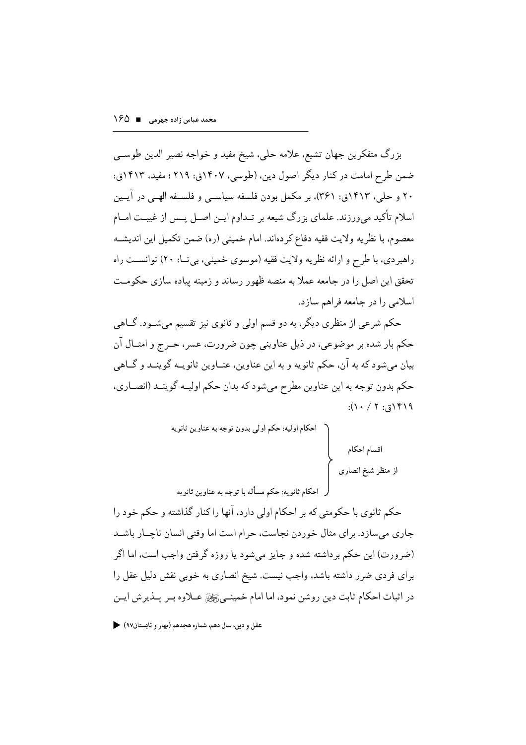بزرگ متفكرين جهان تشيع، علامه حلي، شيخ مفيد و خواجه نصير الدين طوســي ضمن طرح امامت در کنار دیگر اصول دین، (طوسی، ۱۴۰۷ق: ۲۱۹؛ مفید، ۱۴۱۳ق: ۲۰ و حلبي، ۱۴۱۳ق: ۳۶۱)، بر مكمل بودن فلسفه سياســي و فلســفه الهــي در آيــين اسلام تأکید می ورزند. علمای بزرگ شیعه بر تـداوم ایـن اصـل پـس از غیبـت امــام معصوم، با نظريه ولايت فقيه دفاع كردهاند. امام خميني (ره) ضمن تكميل اين انديشــه راهېر دی، با طرح و ارائه نظر په ولايت فقيه (موسوی خمينې، بې تــا: ۲۰) توانســت راه تحقق این اصل را در جامعه عملاً به منصه ظهور رساند و زمینه پیاده سازی حکومـت اسلامی را در جامعه فراهم سازد.

حکم شرعی از منظری دیگر، به دو قسم اولی و ثانوی نیز تقسیم می شـود. گــاهی حکم بار شده بر موضوعي، در ذيل عناويني چون ضرورت، عسر، حــرج و امثــال آن بيان مي شود كه به آن، حكم ثانويه و به اين عناوين، عنــاوين ثانويــه گوينــد و گــاهي حکم بدون توجه به اين عناوين مطرح مي شود که بدان حکم اوليــه گوينــد (انصــاري،  $:(\backslash \cdot / \backslash \cdot \cdot)$ 

حکم ثانوی با حکومتی که بر احکام اولی دارد، آنها راکنار گذاشته و حکم خود را جاري مي سازد. براي مثال خوردن نجاست، حرام است اما وقتى انسان ناچــار باشــد (ضرورت) این حکم برداشته شده و جایز میشود یا روزه گرفتن واجب است، اما اگر برای فردی ضرر داشته باشد، واجب نیست. شیخ انصاری به خوبی نقش دلیل عقل را در اثبات احکام ثابت دين روشن نمود، اما امام خمينــيﷺ عــلاوه بــر پــذير ش ايــن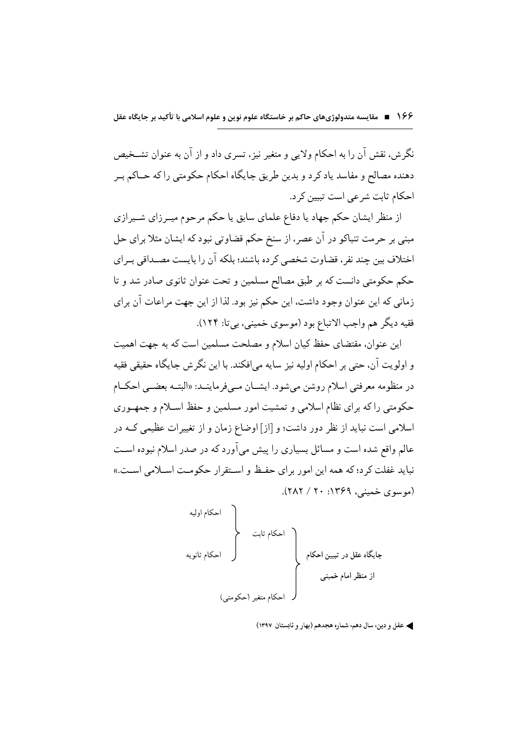نگرش، نقش آن را به احکام ولایی و متغیر نیز، تسری داد و از آن به عنوان تشـخیص دهنده مصالح و مفاسد ياد كرد و بدين طريق جايگاه احكام حكومتي را كه حــاكم بــر احکام ثابت شرعي است تبيين کر د.

از منظر ایشان حکم جهاد یا دفاع علمای سابق یا حکم مرحوم میـرزای شــیرازی مبنی بر حرمت تنباکو در آن عصر، از سنخ حکم قضاوتی نبود که ایشان مثلا برای حل اختلاف بین چند نفر، قضاوت شخصی کرده باشند؛ بلکه آن را بایست مصـداقی بـرای حکم حکومتی دانست که بر طبق مصالح مسلمین و تحت عنوان ثانوی صادر شد و تا زماني كه اين عنوان وجود داشت، اين حكم نيز بود. لذا از اين جهت مراعات آن براي فقيه ديگر هم واجب الاتباع بود (موسوي خميني، بي تا: ١٢۴).

این عنوان، مقتضای حفظ کیان اسلام و مصلحت مسلمین است که به جهت اهمیت و اولويت آن، حتى بر احكام اوليه نيز سايه مى افكند. با اين نگر ش جايگاه حقيقى فقيه در منظومه معرفتي اسلام روشن مي شود. ايشــان مــي فرماينــد: «البتــه بعضــي احكــام حکومتی راکه برای نظام اسلامی و تمشیت امور مسلمین و حفظ اسـلام و جمهـوری اسلامی است نباید از نظر دور داشت؛ و [از] اوضاع زمان و از تغییرات عظیمی کــه در عالم واقع شده است و مسائل بسیاری را پیش می آورد که در صدر اسلام نبوده اسـت نبايد غفلت كرد؛ كه همه اين امور براي حفيظ و استقرار حكومت اسبلامي است.» (موسوى خميني، ١٣۶٩: ٢٠ / ٢٨٢).

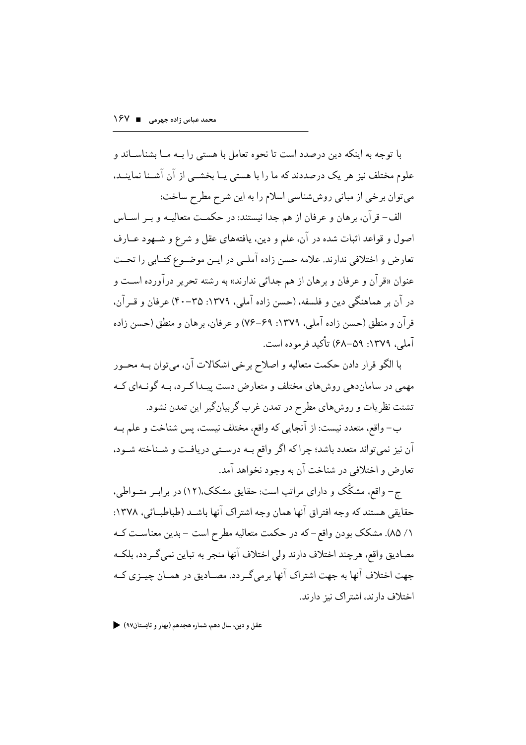با توجه به اینکه دین درصدد است تا نحوه تعامل با هستی را بــه مــا بشناســاند و علوم مختلف نیز هر یک درصددند که ما را با هستی پــا بخشــی از آن آشــنا نماینــد، می توان برخی از مبانی روششناسی اسلام را به این شرح مطرح ساخت:

الف- قرآن، برهان و عرفان از هم جدا نیستند: در حکمـت متعالیــه و بــر اســاس اصول و قواعد اثبات شده در آن، علم و دین، یافتههای عقل و شرع و شـهود عــارف تعارض و اختلافی ندارند. علامه حسن زاده آملـی در ایـن موضـوع کتـابی را تحـت عنوان «قرآن و عرفان و برهان از هم جدائبي ندارند» به رشته تحریر درآورده است و در آن بر هماهنگی دین و فلسفه، (حسن زاده آملی، ۱۳۷۹: ۳۵–۴۰) عرفان و قــرآن، قر آن و منطق (حسن زاده آملی، ۱۳۷۹: ۶۹–۷۶) و عرفان، برهان و منطق (حسن زاده آملي، ١٣٧٩: ٥٩–۶۸) تأکيد فرموده است.

با الگو قرار دادن حکمت متعالیه و اصلاح برخی اشکالات آن، میتوان بــه محــور مهمی در ساماندهی روش های مختلف و متعارض دست پیـدا کـر د، بــه گونــهای کــه تشتت نظریات و روشهای مطرح در تمدن غرب گربیانگیر این تمدن نشود.

ب- واقع، متعدد نيست: از آنجايي كه واقع، مختلف نيست، پس شناخت و علم بــه آن نیز نمی تواند متعدد باشد؛ چرا که اگر واقع بــه درســتی دریافـت و شــناخته شــود، تعارض و اختلافي در شناخت آن به وجود نخواهد آمد.

ج- واقع، مشکَّک و دارای مراتب است: حقایق مشکک،(۱۲) در برابـر متــواطی، حقايقي هستند كه وجه افتراق آنها همان وجه اشتراك آنها باشـد (طباطبــائي، ١٣٧٨: ١/ ٨٥). مشكك بودن واقع-كه در حكمت متعاليه مطرح است – بدين معناسـت كــه مصاديق واقع، هرچند اختلاف دارند ولي اختلاف أنها منجر به تباين نمي گـردد، بلكـه جهت اختلاف آنها به جهت اشتراک آنها برمیگردد. مصـادیق در همـان چیــزی کــه اختلاف دارند، اشتر اک نیز دارند.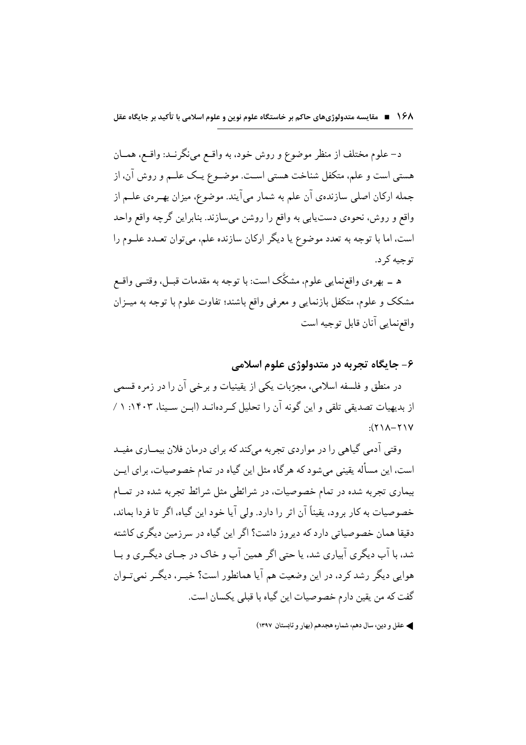د– علوم مختلف از منظر موضوع و روش خود، به واقـع مي نگرنــد: واقـع، همــان هستمي است و علم، متكفل شناخت هستبي اسـت. موضــوع يــک علــم و روش آن، از جمله ارکان اصلی سازندهی آن علم به شمار میآیند. موضوع، میزان بهـرهی علــم از واقع و روش، نحوهي دست يابي به واقع را روشن مي سازند. بنابراين گرچه واقع واحد است، اما با توجه به تعدد موضوع یا دیگر ارکان سازنده علم، می توان تعـدد علــوم را تو جبه کر د.

ه ــ بهرهي واقعزمايي علوم، مشكَّک است: با توجه به مقدمات قبــل، وقتــي واقــع مشکک و علوم، متکفل بازنمایی و معرفی واقع باشند؛ تفاوت علوم با توجه به میــزان واقع نمايي آنان قابل توجيه است

#### ۶- جايگاه تجربه در متدولوژي علوم اسلامي

در منطق و فلسفه اسلامی، مجرّبات یکی از یقینیات و برخی آن را در زمره قسمی از بدیهیات تصدیقی تلقی و این گونه آن را تحلیل کـر دهانــد (ابــن ســینا، ۱۴۰۲: ۱ /  $Y(Y \setminus A - Y)Y$ 

وقتی آدمی گیاهی را در مواردی تجربه میکند که برای درمان فلان بیمـاری مفیـد است، این مسأله یقینی می شود که هر گاه مثل این گیاه در تمام خصوصیات، برای ایــن بیماری تجربه شده در تمام خصوصیات، در شرائطی مثل شرائط تجربه شده در تمــام خصوصیات به کار برود، یقیناً آن اثر را دارد. ولی آیا خود این گیاه، اگر تا فردا بماند، دقیقا همان خصوصیاتی دارد که دیروز داشت؟ اگر این گیاه در سرزمین دیگری کاشته شد، با آب دیگری آبیاری شد، یا حتی اگر همین آب و خاک در جــای دیگــری و بــا هوایی دیگر رشد کرد، در این وضعیت هم آیا همانطور است؟ خیــر، دیگــر نمی تــوان گفت که من یقین دارم خصوصیات این گیاه با قبلی یکسان است.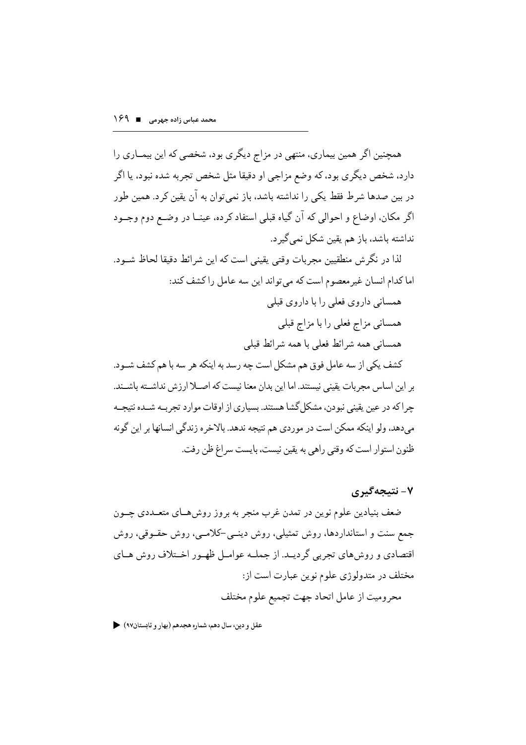همچنین اگر همین بیماری، منتهی در مزاج دیگری بود، شخصی که این بیمــاری را دارد، شخص دیگری بود، که وضع مزاجی او دقیقا مثل شخص تجربه شده نبود، یا اگر در بین صدها شرط فقط یکی را نداشته باشد، باز نمیتوان به آن یقین کرد. همین طور اگر مکان، اوضاع و احوالی که آن گیاه قبلی استفاد کرده، عینــا در وضــع دوم وجــود نداشته باشد، باز هم یقین شکل نمی گیر د.

لذا در نگر ش منطقيين مجربات وقتي يقيني است كه اين شرائط دقيقا لحاظ شـود. اما كدام انسان غيرمعصوم است كه مي تواند اين سه عامل را كشف كند: همسانی داروی فعلی را با داروی قبلی همساني مزاج فعلي را با مزاج قبلي همسانی همه شرائط فعلی با همه شرائط قبلی كشف يكي از سه عامل فوق هم مشكل است چه رسد به اينكه هر سه با هم كشف شــود. بر اين اساس مجربات يقيني نيستند. اما اين بدان معنا نيست كه اصــلا ارزش نداشــته باشــند. چرا که در عین یقینی نبودن، مشکل گشا هستند. بسیاری از اوقات موارد تجربـه شــده نتیجـه مىدهد، ولو اينكه ممكن است در موردي هم نتيجه ندهد. بالاخره زندگي انسانها بر اين گونه ظنون استوار است كه وقتى راهي به يقين نيست، بايست سراغ ظن رفت.

۷- نتیجهگیری

ضعف بنیادین علوم نوین در تمدن غرب منجر به بروز روش هــای متعــددی چــون جمع سنت و استانداردها، روش تمثیلی، روش دینــی-کلامــی، روش حقــوقی، روش اقتصادي و روش هاي تجربي گرديـد. از جملــه عوامــل ظهـور اخــتلاف روش هــاي مختلف در متدولوژي علوم نوين عبارت است از: محروميت از عامل اتحاد جهت تجميع علوم مختلف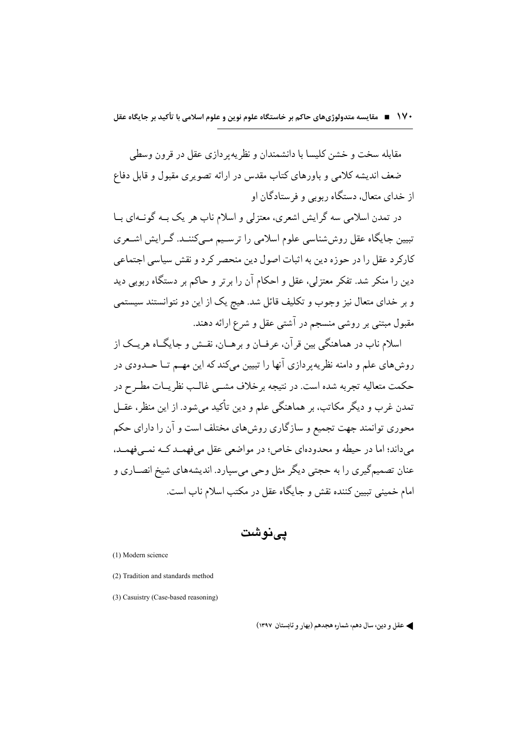مقابله سخت و خشن کلیسا با دانشمندان و نظریه و دازی عقل در قرون وسطی ضعف اندیشه کلامی و باورهای کتاب مقدس در ارائه تصویری مقبول و قابل دفاع از خدای متعال، دستگاه ربوبی و فرستادگان او

در تمدن اسلامی سه گرایش اشعری، معتزلی و اسلام ناب هر یک بــه گونــهای بــا تبیین جایگاه عقل روششناسی علوم اسلامی را ترسیم مـیکننــد. گــرایش اشــعری کارکر د عقل را در حوزه دین به اثبات اصول دین منحصر کر د و نقش سیاسی اجتماعی دین را منکر شد. تفکر معتزلی، عقل و احکام آن را بر تر و حاکم بر دستگاه ربوبی دید و بر خدای متعال نیز وجوب و تکلیف قائل شد. هیچ یک از این دو نتوانستند سیستمی مقبول مبتنی بر روشی منسجم در آشتی عقل و شرع ارائه دهند.

اسلام ناب در هماهنگي بين قر آن، عرفــان و برهــان، نقــش و جـايگــاه هريــک از روشهاي علم و دامنه نظر په پر دازي آنها را تبيين مي كند كه اين مهــم تــا حــدودي در حکمت متعالیه تجربه شده است. در نتیجه بر خلاف مشبی غالـب نظریــات مطــرح در تمدن غرب و دیگر مکاتب، بر هماهنگی علم و دین تأکید می شود. از این منظر، عقــل محوری توانمند جهت تجمیع و سازگاری روشهای مختلف است و آن را دارای حکم مي داند؛ اما در حيطه و محدودهاي خاص؛ در مواضعي عقل مي فهمـد كــه نمــي فهمــد، عنان تصمیمگیری را به حجتی دیگر مثل وحی میسیارد. اندیشههای شیخ انصـاری و امام خمینی تبیین کننده نقش و جایگاه عقل در مکتب اسلام ناب است.

یے نوشت

(1) Modern science

- (2) Tradition and standards method
- (3) Casuistry (Case-based reasoning)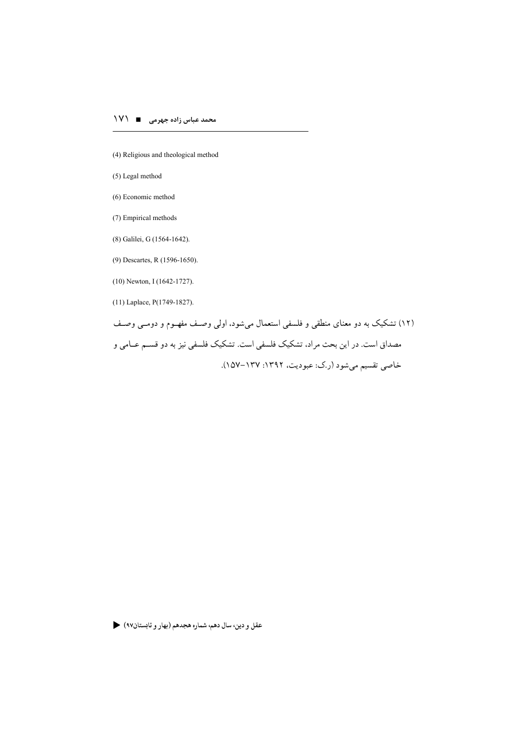- (4) Religious and theological method
- (5) Legal method
- (6) Economic method
- (7) Empirical methods
- (8) Galilei, G (1564-1642).
- (9) Descartes, R (1596-1650).
- $(10)$  Newton, I  $(1642 1727)$ .
- $(11)$  Laplace, P $(1749-1827)$ .

(۱۲) تشکیک به دو معنای منطقی و فلسفی استعمال میشود، اولی وصف مفهـوم و دومـی وصـف مصداق است. در این بحث مراد، تشکیک فلسفی است. تشکیک فلسفی نیز به دو قسـم عــامی و خاصي تقسيم ميشود (رك: عبوديت، ١٣٩٢: ١٥٧-١٥٧).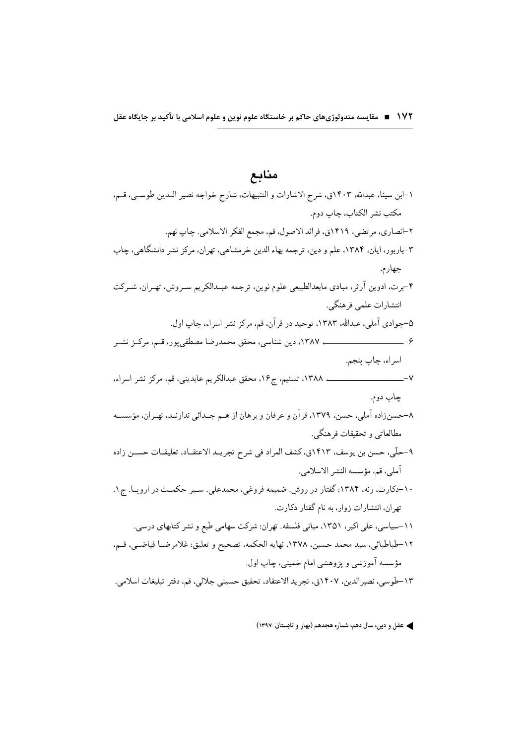## منابع

| ۱–ابن سینا، عبدالله، ۱۴۰۳ق، شرح الاشارات و التنبیهات، شارح خواجه نصیر الـدین طوسـی، قـم،  |
|-------------------------------------------------------------------------------------------|
| مكتب نشر الكتاب، چاپ دوم.                                                                 |
| ۲–انصاري، مرتضى، ۱۴۱۹ق، فرائد الاصول، قم، مجمع الفكر الاسلامي. چاپ نهم.                   |
| ۳-باربور، ایان، ۱۳۸۴، علم و دین، ترجمه بهاء الدین خرمشاهی، تهران، مرکز نشر دانشگاهی، چاپ  |
| چهارم.                                                                                    |
| ۴-برت، ادوین آرثر، مبادی مابعدالطبیعی علوم نوین، ترجمه عبـدالکریم سـروش، تهـران، شــرکت   |
| انتشارات علمي فرهنگي.                                                                     |
| ۵–جوادی آملی، عبدالله، ۱۳۸۳، توحید در قرآن، قم، مرکز نشر اسراء، چاپ اول.                  |
|                                                                                           |
| اسراء، چاپ پنجم.                                                                          |
| $-V$<br>ء ١٣٨٨، تسنيم، ج١۶، محقق عبدالكريم عابديني، قم، مركز نشر اسراء،                   |
| چاپ دوم.                                                                                  |
| ۸–حسنزاده آملی، حسن، ۱۳۷۹، قرآن و عرفان و برهان از هـم جــدائی ندارنــد، تهــران، مؤسســه |
| مطالعاتي و تحقيقات فرهنگي.                                                                |
| ۹–حلَّى، حسن بن يوسف، ١٤١٣ق، كشف المراد في شرح تجريـد الاعتقـاد، تعليقـات حســن زاده      |
| أملي، قم، مؤسسه النشر الاسلامي.                                                           |
| ۱۰–دکارت، رنه، ۱۳۸۴: گفتار در روش. ضمیمه فروغی، محمدعلی. سـیر حکمــت در اروپــا. ج۱.      |
| تهران، انتشارات زوار، به نام گفتار دکارت.                                                 |
| ۱۱–سیاسی، علی اکبر، ۱۳۵۱، مبانی فلسفه. تهران: شرکت سهامی طبع و نشر کتابهای درسی.          |
|                                                                                           |
| ١٢-طباطبائي، سيد محمد حسين، ١٣٧٨، نهايه الحكمه، تصحيح و تعليق: غلامرضـا فياضـي، قــم،     |
| مؤسسه آموزشي و پژوهشي امام خميني، چاپ اول.                                                |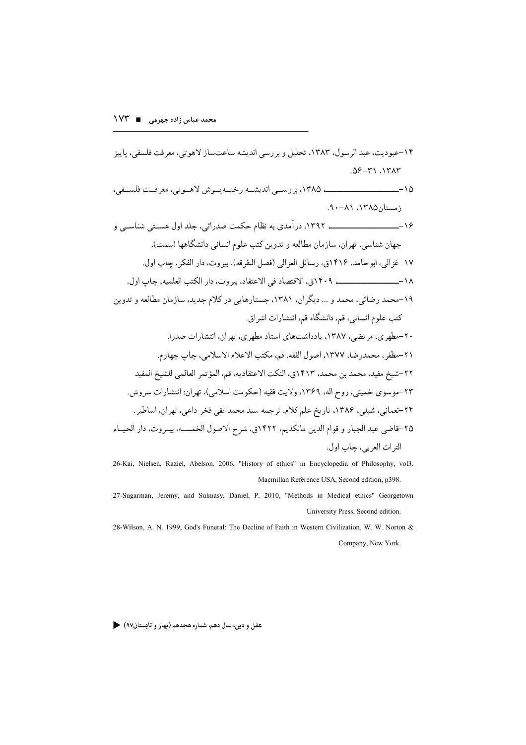26-Kai, Nielsen, Raziel, Abelson. 2006, "History of ethics" in Encyclopedia of Philosophy, vol3. Macmillan Reference USA, Second edition, p398.

- 27-Sugarman, Jeremy, and Sulmasy, Daniel, P. 2010, "Methods in Medical ethics" Georgetown University Press, Second edition.
- 28-Wilson, A. N. 1999, God's Funeral: The Decline of Faith in Western Civilization. W. W. Norton & Company, New York.